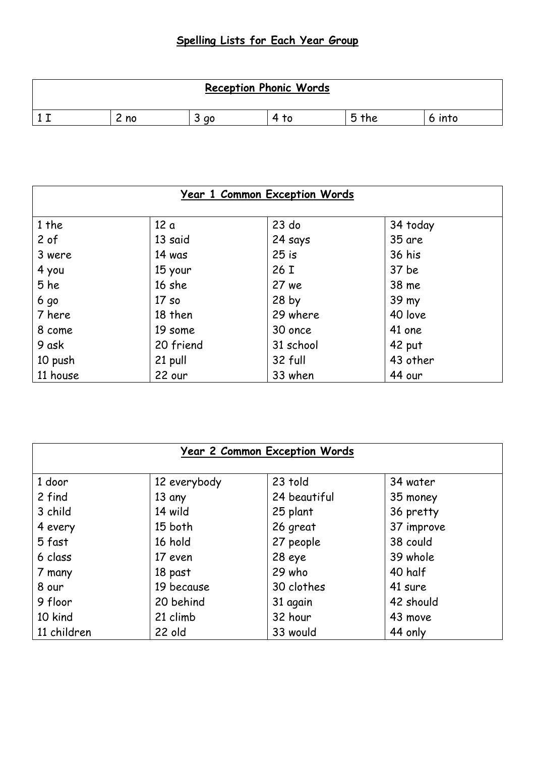## **Spelling Lists for Each Year Group**

| <b>Reception Phonic Words</b> |         |                |                |     |        |  |
|-------------------------------|---------|----------------|----------------|-----|--------|--|
|                               | ∽<br>no | ∽<br>s ao<br>ٮ | $\Delta$<br>T0 | the | 6 into |  |

| <u>Year 1 Common Exception Words</u> |                  |                  |               |  |
|--------------------------------------|------------------|------------------|---------------|--|
| 1 the                                | 12 a             | $23$ do          | 34 today      |  |
| 2 of                                 | 13 said          | 24 says          | 35 are        |  |
| 3 were                               | 14 was           | $25$ is          | <b>36 his</b> |  |
| 4 you                                | 15 your          | 26 I             | 37 be         |  |
| 5 he                                 | 16 she           | 27 we            | 38 me         |  |
| 6 <sub>g</sub>                       | 17 <sub>so</sub> | 28 <sub>by</sub> | 39 my         |  |
| 7 here                               | 18 then          | 29 where         | 40 love       |  |
| 8 come                               | 19 some          | 30 once          | 41 one        |  |
| 9 ask                                | 20 friend        | 31 school        | 42 put        |  |
| 10 push                              | 21 pull          | 32 full          | 43 other      |  |
| 11 house                             | 22 our           | 33 when          | 44 our        |  |

| <b>Year 2 Common Exception Words</b> |              |              |            |  |
|--------------------------------------|--------------|--------------|------------|--|
| 1 door                               | 12 everybody | 23 told      | 34 water   |  |
| 2 find                               | 13 any       | 24 beautiful | 35 money   |  |
| 3 child                              | 14 wild      | 25 plant     | 36 pretty  |  |
| 4 every                              | 15 both      | 26 great     | 37 improve |  |
| 5 fast                               | 16 hold      | 27 people    | 38 could   |  |
| 6 class                              | 17 even      | 28 eye       | 39 whole   |  |
| 7 many                               | 18 past      | 29 who       | 40 half    |  |
| 8 our                                | 19 because   | 30 clothes   | 41 sure    |  |
| 9 floor                              | 20 behind    | 31 again     | 42 should  |  |
| 10 kind                              | 21 climb     | 32 hour      | 43 move    |  |
| 11 children                          | 22 old       | 33 would     | 44 only    |  |